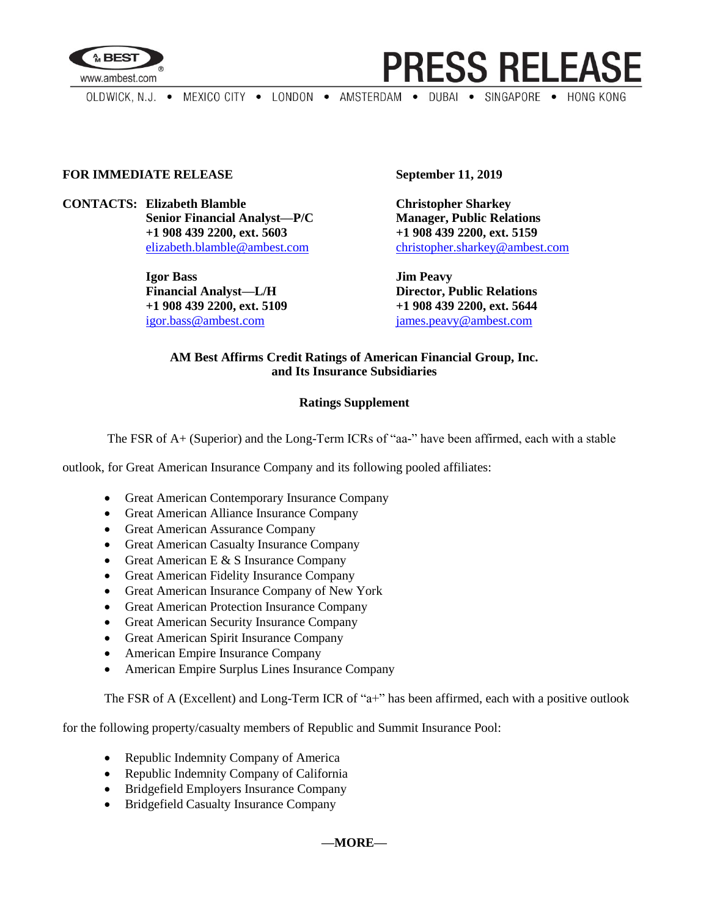



OLDWICK, N.J. . MEXICO CITY . LONDON . AMSTERDAM . DUBAI . SINGAPORE . HONG KONG

## **FOR IMMEDIATE RELEASE September 11, 2019**

**CONTACTS: Elizabeth Blamble Christopher Sharkey Senior Financial Analyst—P/C Manager, Public Relations +1 908 439 2200, ext. 5603 +1 908 439 2200, ext. 5159**

> **Igor Bass Jim Peavy Financial Analyst—L/H Director, Public Relations +1 908 439 2200, ext. 5109 +1 908 439 2200, ext. 5644** [igor.bass@ambest.com](mailto:igor.bass@ambest.com) [james.peavy@ambest.com](mailto:james.peavy@ambest.com)

[elizabeth.blamble@ambest.com](mailto:elizabeth.blamble@ambest.com) [christopher.sharkey@ambest.com](mailto:christopher.sharkey@ambest.com)

## **AM Best Affirms Credit Ratings of American Financial Group, Inc. and Its Insurance Subsidiaries**

## **Ratings Supplement**

The FSR of A+ (Superior) and the Long-Term ICRs of "aa-" have been affirmed, each with a stable

outlook, for Great American Insurance Company and its following pooled affiliates:

- Great American Contemporary Insurance Company
- Great American Alliance Insurance Company
- Great American Assurance Company
- Great American Casualty Insurance Company
- Great American E  $&$  S Insurance Company
- Great American Fidelity Insurance Company
- Great American Insurance Company of New York
- Great American Protection Insurance Company
- Great American Security Insurance Company
- Great American Spirit Insurance Company
- American Empire Insurance Company
- American Empire Surplus Lines Insurance Company

The FSR of A (Excellent) and Long-Term ICR of "a+" has been affirmed, each with a positive outlook

for the following property/casualty members of Republic and Summit Insurance Pool:

- Republic Indemnity Company of America
- Republic Indemnity Company of California
- Bridgefield Employers Insurance Company
- Bridgefield Casualty Insurance Company

**—MORE—**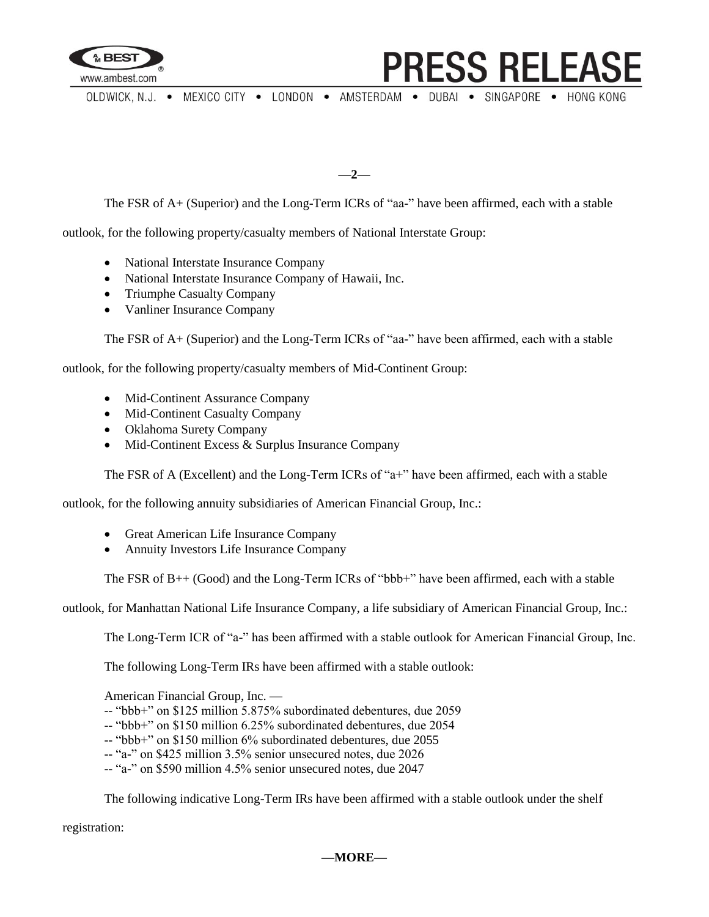

**PRESS RELEASE** 

OLDWICK, N.J. . MEXICO CITY . LONDON . AMSTERDAM . DUBAI . SINGAPORE . HONG KONG

**—2—**

The FSR of A+ (Superior) and the Long-Term ICRs of "aa-" have been affirmed, each with a stable

outlook, for the following property/casualty members of National Interstate Group:

- National Interstate Insurance Company
- National Interstate Insurance Company of Hawaii, Inc.
- Triumphe Casualty Company
- Vanliner Insurance Company

The FSR of A+ (Superior) and the Long-Term ICRs of "aa-" have been affirmed, each with a stable

outlook, for the following property/casualty members of Mid-Continent Group:

- Mid-Continent Assurance Company
- Mid-Continent Casualty Company
- Oklahoma Surety Company
- Mid-Continent Excess & Surplus Insurance Company

The FSR of A (Excellent) and the Long-Term ICRs of "a+" have been affirmed, each with a stable

outlook, for the following annuity subsidiaries of American Financial Group, Inc.:

- Great American Life Insurance Company
- Annuity Investors Life Insurance Company

The FSR of B<sub>++</sub> (Good) and the Long-Term ICRs of "bbb+" have been affirmed, each with a stable

outlook, for Manhattan National Life Insurance Company, a life subsidiary of American Financial Group, Inc.:

The Long-Term ICR of "a-" has been affirmed with a stable outlook for American Financial Group, Inc.

The following Long-Term IRs have been affirmed with a stable outlook:

American Financial Group, Inc. —

-- "bbb+" on \$125 million 5.875% subordinated debentures, due 2059

-- "bbb+" on \$150 million 6.25% subordinated debentures, due 2054

- -- "bbb+" on \$150 million 6% subordinated debentures, due 2055
- -- "a-" on \$425 million 3.5% senior unsecured notes, due 2026
- -- "a-" on \$590 million 4.5% senior unsecured notes, due 2047

The following indicative Long-Term IRs have been affirmed with a stable outlook under the shelf

registration: